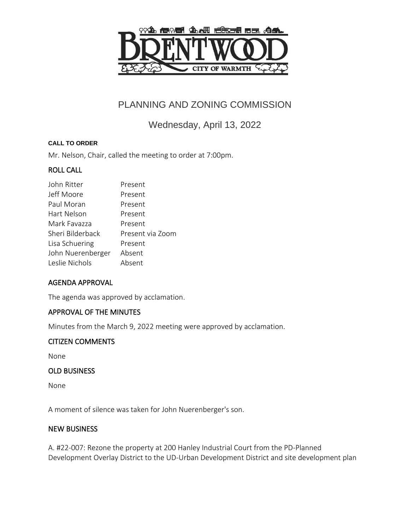

# PLANNING AND ZONING COMMISSION

Wednesday, April 13, 2022

#### **CALL TO ORDER**

Mr. Nelson, Chair, called the meeting to order at 7:00pm.

## ROLL CALL

| John Ritter       | Present          |
|-------------------|------------------|
| Jeff Moore        | Present          |
| Paul Moran        | Present          |
| Hart Nelson       | Present          |
| Mark Favazza      | Present          |
| Sheri Bilderback  | Present via Zoom |
| Lisa Schuering    | Present          |
| John Nuerenberger | Absent           |
| Leslie Nichols    | Absent           |
|                   |                  |

## AGENDA APPROVAL

The agenda was approved by acclamation.

## APPROVAL OF THE MINUTES

Minutes from the March 9, 2022 meeting were approved by acclamation.

#### CITIZEN COMMENTS

None

#### OLD BUSINESS

None

A moment of silence was taken for John Nuerenberger's son.

#### NEW BUSINESS

A. #22-007: Rezone the property at 200 Hanley Industrial Court from the PD-Planned Development Overlay District to the UD-Urban Development District and site development plan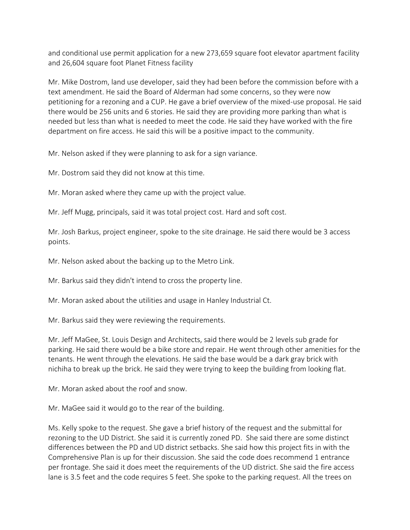and conditional use permit application for a new 273,659 square foot elevator apartment facility and 26,604 square foot Planet Fitness facility

Mr. Mike Dostrom, land use developer, said they had been before the commission before with a text amendment. He said the Board of Alderman had some concerns, so they were now petitioning for a rezoning and a CUP. He gave a brief overview of the mixed-use proposal. He said there would be 256 units and 6 stories. He said they are providing more parking than what is needed but less than what is needed to meet the code. He said they have worked with the fire department on fire access. He said this will be a positive impact to the community.

Mr. Nelson asked if they were planning to ask for a sign variance.

Mr. Dostrom said they did not know at this time.

Mr. Moran asked where they came up with the project value.

Mr. Jeff Mugg, principals, said it was total project cost. Hard and soft cost.

Mr. Josh Barkus, project engineer, spoke to the site drainage. He said there would be 3 access points.

Mr. Nelson asked about the backing up to the Metro Link.

Mr. Barkus said they didn't intend to cross the property line.

Mr. Moran asked about the utilities and usage in Hanley Industrial Ct.

Mr. Barkus said they were reviewing the requirements.

Mr. Jeff MaGee, St. Louis Design and Architects, said there would be 2 levels sub grade for parking. He said there would be a bike store and repair. He went through other amenities for the tenants. He went through the elevations. He said the base would be a dark gray brick with nichiha to break up the brick. He said they were trying to keep the building from looking flat.

Mr. Moran asked about the roof and snow.

Mr. MaGee said it would go to the rear of the building.

Ms. Kelly spoke to the request. She gave a brief history of the request and the submittal for rezoning to the UD District. She said it is currently zoned PD. She said there are some distinct differences between the PD and UD district setbacks. She said how this project fits in with the Comprehensive Plan is up for their discussion. She said the code does recommend 1 entrance per frontage. She said it does meet the requirements of the UD district. She said the fire access lane is 3.5 feet and the code requires 5 feet. She spoke to the parking request. All the trees on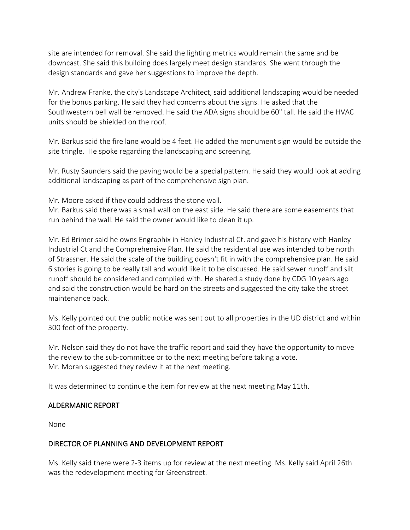site are intended for removal. She said the lighting metrics would remain the same and be downcast. She said this building does largely meet design standards. She went through the design standards and gave her suggestions to improve the depth.

Mr. Andrew Franke, the city's Landscape Architect, said additional landscaping would be needed for the bonus parking. He said they had concerns about the signs. He asked that the Southwestern bell wall be removed. He said the ADA signs should be 60" tall. He said the HVAC units should be shielded on the roof.

Mr. Barkus said the fire lane would be 4 feet. He added the monument sign would be outside the site tringle. He spoke regarding the landscaping and screening.

Mr. Rusty Saunders said the paving would be a special pattern. He said they would look at adding additional landscaping as part of the comprehensive sign plan.

Mr. Moore asked if they could address the stone wall.

Mr. Barkus said there was a small wall on the east side. He said there are some easements that run behind the wall. He said the owner would like to clean it up.

Mr. Ed Brimer said he owns Engraphix in Hanley Industrial Ct. and gave his history with Hanley Industrial Ct and the Comprehensive Plan. He said the residential use was intended to be north of Strassner. He said the scale of the building doesn't fit in with the comprehensive plan. He said 6 stories is going to be really tall and would like it to be discussed. He said sewer runoff and silt runoff should be considered and complied with. He shared a study done by CDG 10 years ago and said the construction would be hard on the streets and suggested the city take the street maintenance back.

Ms. Kelly pointed out the public notice was sent out to all properties in the UD district and within 300 feet of the property.

Mr. Nelson said they do not have the traffic report and said they have the opportunity to move the review to the sub-committee or to the next meeting before taking a vote. Mr. Moran suggested they review it at the next meeting.

It was determined to continue the item for review at the next meeting May 11th.

#### ALDERMANIC REPORT

None

## DIRECTOR OF PLANNING AND DEVELOPMENT REPORT

Ms. Kelly said there were 2-3 items up for review at the next meeting. Ms. Kelly said April 26th was the redevelopment meeting for Greenstreet.